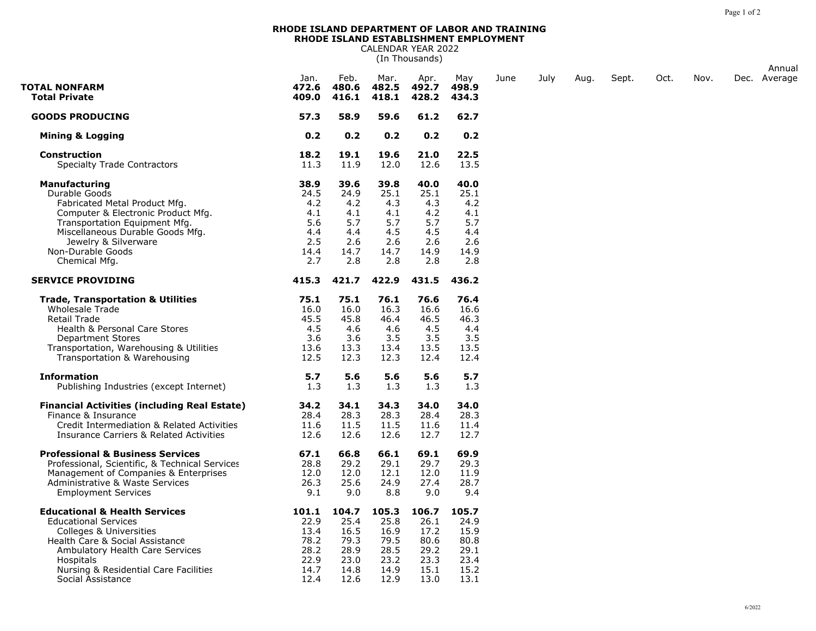## **RHODE ISLAND DEPARTMENT OF LABOR AND TRAINING RHODE ISLAND ESTABLISHMENT EMPLOYMENT** CALENDAR YEAR 2022

(In Thousands)

|                                                                                                                                                                                                                                                     |                                                               |                                                               |                                                               |                                                               |                                                               | Annual |      |      |       |      |      |  |              |  |  |
|-----------------------------------------------------------------------------------------------------------------------------------------------------------------------------------------------------------------------------------------------------|---------------------------------------------------------------|---------------------------------------------------------------|---------------------------------------------------------------|---------------------------------------------------------------|---------------------------------------------------------------|--------|------|------|-------|------|------|--|--------------|--|--|
| <b>TOTAL NONFARM</b><br><b>Total Private</b>                                                                                                                                                                                                        | Jan.<br>472.6<br>409.0                                        | Feb.<br>480.6<br>416.1                                        | Mar.<br>482.5<br>418.1                                        | Apr.<br>492.7<br>428.2                                        | May<br>498.9<br>434.3                                         | June   | July | Aug. | Sept. | Oct. | Nov. |  | Dec. Average |  |  |
| <b>GOODS PRODUCING</b>                                                                                                                                                                                                                              | 57.3                                                          | 58.9                                                          | 59.6                                                          | 61.2                                                          | 62.7                                                          |        |      |      |       |      |      |  |              |  |  |
| <b>Mining &amp; Logging</b>                                                                                                                                                                                                                         | 0.2                                                           | 0.2                                                           | 0.2                                                           | 0.2                                                           | 0.2                                                           |        |      |      |       |      |      |  |              |  |  |
| <b>Construction</b><br><b>Specialty Trade Contractors</b>                                                                                                                                                                                           | 18.2<br>11.3                                                  | 19.1<br>11.9                                                  | 19.6<br>12.0                                                  | 21.0<br>12.6                                                  | 22.5<br>13.5                                                  |        |      |      |       |      |      |  |              |  |  |
| <b>Manufacturing</b><br>Durable Goods<br>Fabricated Metal Product Mfg.<br>Computer & Electronic Product Mfg.                                                                                                                                        | 38.9<br>24.5<br>4.2<br>4.1                                    | 39.6<br>24.9<br>4.2<br>4.1                                    | 39.8<br>25.1<br>4.3<br>4.1                                    | 40.0<br>25.1<br>4.3<br>4.2                                    | 40.0<br>25.1<br>4.2<br>4.1                                    |        |      |      |       |      |      |  |              |  |  |
| Transportation Equipment Mfg.<br>Miscellaneous Durable Goods Mfg.<br>Jewelry & Silverware<br>Non-Durable Goods                                                                                                                                      | 5.6<br>4.4<br>2.5<br>14.4                                     | 5.7<br>4.4<br>2.6<br>14.7                                     | 5.7<br>4.5<br>2.6<br>14.7                                     | 5.7<br>4.5<br>2.6<br>14.9                                     | 5.7<br>4.4<br>2.6<br>14.9                                     |        |      |      |       |      |      |  |              |  |  |
| Chemical Mfg.                                                                                                                                                                                                                                       | 2.7                                                           | 2.8                                                           | 2.8                                                           | 2.8                                                           | 2.8                                                           |        |      |      |       |      |      |  |              |  |  |
| <b>SERVICE PROVIDING</b>                                                                                                                                                                                                                            | 415.3                                                         | 421.7                                                         | 422.9                                                         | 431.5                                                         | 436.2                                                         |        |      |      |       |      |      |  |              |  |  |
| <b>Trade, Transportation &amp; Utilities</b><br><b>Wholesale Trade</b><br>Retail Trade<br>Health & Personal Care Stores<br><b>Department Stores</b><br>Transportation, Warehousing & Utilities<br>Transportation & Warehousing                      | 75.1<br>16.0<br>45.5<br>4.5<br>3.6<br>13.6<br>12.5            | 75.1<br>16.0<br>45.8<br>4.6<br>3.6<br>13.3<br>12.3            | 76.1<br>16.3<br>46.4<br>4.6<br>3.5<br>13.4<br>12.3            | 76.6<br>16.6<br>46.5<br>4.5<br>3.5<br>13.5<br>12.4            | 76.4<br>16.6<br>46.3<br>4.4<br>3.5<br>13.5<br>12.4            |        |      |      |       |      |      |  |              |  |  |
| <b>Information</b><br>Publishing Industries (except Internet)                                                                                                                                                                                       | 5.7<br>1.3                                                    | 5.6<br>1.3                                                    | 5.6<br>1.3                                                    | 5.6<br>1.3                                                    | 5.7<br>1.3                                                    |        |      |      |       |      |      |  |              |  |  |
| <b>Financial Activities (including Real Estate)</b><br>Finance & Insurance<br>Credit Intermediation & Related Activities<br><b>Insurance Carriers &amp; Related Activities</b>                                                                      | 34.2<br>28.4<br>11.6<br>12.6                                  | 34.1<br>28.3<br>11.5<br>12.6                                  | 34.3<br>28.3<br>11.5<br>12.6                                  | 34.0<br>28.4<br>11.6<br>12.7                                  | 34.0<br>28.3<br>11.4<br>12.7                                  |        |      |      |       |      |      |  |              |  |  |
| <b>Professional &amp; Business Services</b><br>Professional, Scientific, & Technical Services<br>Management of Companies & Enterprises<br><b>Administrative &amp; Waste Services</b><br><b>Employment Services</b>                                  | 67.1<br>28.8<br>12.0<br>26.3<br>9.1                           | 66.8<br>29.2<br>12.0<br>25.6<br>9.0                           | 66.1<br>29.1<br>12.1<br>24.9<br>8.8                           | 69.1<br>29.7<br>12.0<br>27.4<br>9.0                           | 69.9<br>29.3<br>11.9<br>28.7<br>9.4                           |        |      |      |       |      |      |  |              |  |  |
| <b>Educational &amp; Health Services</b><br><b>Educational Services</b><br>Colleges & Universities<br>Health Care & Social Assistance<br>Ambulatory Health Care Services<br>Hospitals<br>Nursing & Residential Care Facilities<br>Social Assistance | 101.1<br>22.9<br>13.4<br>78.2<br>28.2<br>22.9<br>14.7<br>12.4 | 104.7<br>25.4<br>16.5<br>79.3<br>28.9<br>23.0<br>14.8<br>12.6 | 105.3<br>25.8<br>16.9<br>79.5<br>28.5<br>23.2<br>14.9<br>12.9 | 106.7<br>26.1<br>17.2<br>80.6<br>29.2<br>23.3<br>15.1<br>13.0 | 105.7<br>24.9<br>15.9<br>80.8<br>29.1<br>23.4<br>15.2<br>13.1 |        |      |      |       |      |      |  |              |  |  |